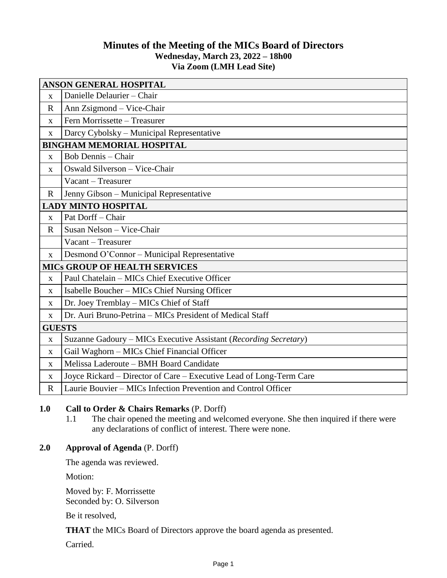# **Minutes of the Meeting of the MICs Board of Directors Wednesday, March 23, 2022 – 18h00 Via Zoom (LMH Lead Site)**

| <b>ANSON GENERAL HOSPITAL</b>        |                                                                     |
|--------------------------------------|---------------------------------------------------------------------|
| $\mathbf X$                          | Danielle Delaurier - Chair                                          |
| $\mathbf R$                          | Ann Zsigmond – Vice-Chair                                           |
| X                                    | Fern Morrissette - Treasurer                                        |
| X                                    | Darcy Cybolsky - Municipal Representative                           |
| <b>BINGHAM MEMORIAL HOSPITAL</b>     |                                                                     |
| $\mathbf X$                          | <b>Bob Dennis</b> - Chair                                           |
| X                                    | Oswald Silverson - Vice-Chair                                       |
|                                      | Vacant - Treasurer                                                  |
| $\mathbf R$                          | Jenny Gibson - Municipal Representative                             |
| <b>LADY MINTO HOSPITAL</b>           |                                                                     |
| $\mathbf X$                          | Pat Dorff - Chair                                                   |
| $\mathbf R$                          | Susan Nelson - Vice-Chair                                           |
|                                      | Vacant - Treasurer                                                  |
| X                                    | Desmond O'Connor - Municipal Representative                         |
| <b>MICS GROUP OF HEALTH SERVICES</b> |                                                                     |
| X                                    | Paul Chatelain - MICs Chief Executive Officer                       |
| X                                    | Isabelle Boucher - MICs Chief Nursing Officer                       |
| X                                    | Dr. Joey Tremblay - MICs Chief of Staff                             |
| $\mathbf X$                          | Dr. Auri Bruno-Petrina - MICs President of Medical Staff            |
| <b>GUESTS</b>                        |                                                                     |
| X                                    | Suzanne Gadoury - MICs Executive Assistant (Recording Secretary)    |
| X                                    | Gail Waghorn - MICs Chief Financial Officer                         |
| $\mathbf{X}$                         | Melissa Laderoute - BMH Board Candidate                             |
| $\mathbf{X}$                         | Joyce Rickard - Director of Care - Executive Lead of Long-Term Care |
| $\mathbf R$                          | Laurie Bouvier – MICs Infection Prevention and Control Officer      |

## **1.0 Call to Order & Chairs Remarks** (P. Dorff)

1.1 The chair opened the meeting and welcomed everyone. She then inquired if there were any declarations of conflict of interest. There were none.

## **2.0 Approval of Agenda** (P. Dorff)

The agenda was reviewed.

Motion:

Moved by: F. Morrissette Seconded by: O. Silverson

Be it resolved,

**THAT** the MICs Board of Directors approve the board agenda as presented.

Carried.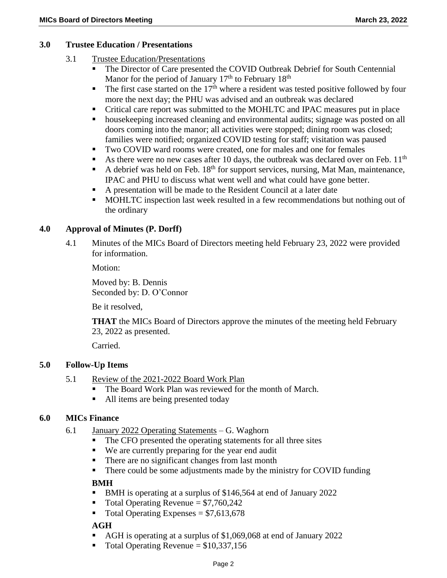### **3.0 Trustee Education / Presentations**

- 3.1 Trustee Education/Presentations
	- The Director of Care presented the COVID Outbreak Debrief for South Centennial Manor for the period of January  $17<sup>th</sup>$  to February  $18<sup>th</sup>$
	- $\blacksquare$  The first case started on the 17<sup>th</sup> where a resident was tested positive followed by four more the next day; the PHU was advised and an outbreak was declared
	- Critical care report was submitted to the MOHLTC and IPAC measures put in place
	- housekeeping increased cleaning and environmental audits; signage was posted on all doors coming into the manor; all activities were stopped; dining room was closed; families were notified; organized COVID testing for staff; visitation was paused
	- Two COVID ward rooms were created, one for males and one for females
	- As there were no new cases after 10 days, the outbreak was declared over on Feb.  $11<sup>th</sup>$
	- A debrief was held on Feb.  $18<sup>th</sup>$  for support services, nursing, Mat Man, maintenance, IPAC and PHU to discuss what went well and what could have gone better.
	- A presentation will be made to the Resident Council at a later date
	- MOHLTC inspection last week resulted in a few recommendations but nothing out of the ordinary

## **4.0 Approval of Minutes (P. Dorff)**

4.1 Minutes of the MICs Board of Directors meeting held February 23, 2022 were provided for information.

Motion:

Moved by: B. Dennis Seconded by: D. O'Connor

Be it resolved,

**THAT** the MICs Board of Directors approve the minutes of the meeting held February 23, 2022 as presented.

Carried.

# **5.0 Follow-Up Items**

- 5.1 Review of the 2021-2022 Board Work Plan
	- The Board Work Plan was reviewed for the month of March.
	- All items are being presented today

## **6.0 MICs Finance**

- 6.1 January 2022 Operating Statements G. Waghorn
	- The CFO presented the operating statements for all three sites
	- We are currently preparing for the year end audit
	- There are no significant changes from last month
	- There could be some adjustments made by the ministry for COVID funding

## **BMH**

- BMH is operating at a surplus of \$146,564 at end of January 2022
- $\blacksquare$  Total Operating Revenue = \$7,760,242
- $\blacksquare$  Total Operating Expenses = \$7,613,678

## **AGH**

- AGH is operating at a surplus of \$1,069,068 at end of January 2022
- Total Operating Revenue = \$10,337,156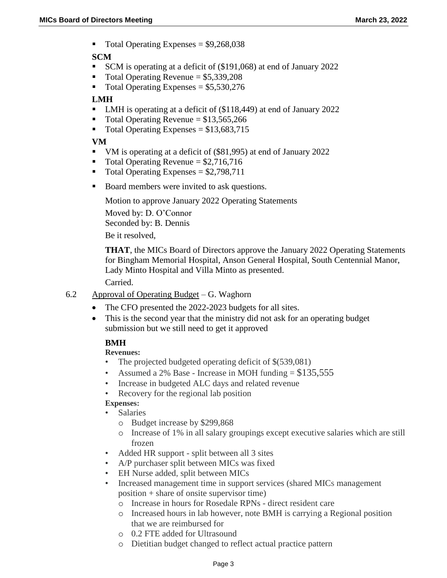Total Operating Expenses = \$9,268,038

## **SCM**

- SCM is operating at a deficit of (\$191,068) at end of January 2022
- $\blacksquare$  Total Operating Revenue = \$5,339,208
- $\blacksquare$  Total Operating Expenses = \$5,530,276

## **LMH**

- LMH is operating at a deficit of (\$118,449) at end of January 2022
- Total Operating Revenue =  $$13,565,266$
- Total Operating Expenses =  $$13,683,715$

### **VM**

- VM is operating at a deficit of (\$81,995) at end of January 2022
- $\blacksquare$  Total Operating Revenue = \$2,716,716
- $\blacksquare$  Total Operating Expenses = \$2,798,711
- Board members were invited to ask questions.

Motion to approve January 2022 Operating Statements

Moved by: D. O'Connor Seconded by: B. Dennis Be it resolved,

**THAT**, the MICs Board of Directors approve the January 2022 Operating Statements for Bingham Memorial Hospital, Anson General Hospital, South Centennial Manor, Lady Minto Hospital and Villa Minto as presented. Carried.

- 6.2 Approval of Operating Budget G. Waghorn
	- The CFO presented the 2022-2023 budgets for all sites.
	- This is the second year that the ministry did not ask for an operating budget submission but we still need to get it approved

## **BMH**

#### **Revenues:**

- The projected budgeted operating deficit of \$(539,081)
- Assumed a 2% Base Increase in MOH funding  $= $135,555$
- Increase in budgeted ALC days and related revenue
- Recovery for the regional lab position

#### **Expenses:**

- **Salaries** 
	- o Budget increase by \$299,868
	- o Increase of 1% in all salary groupings except executive salaries which are still frozen
- Added HR support split between all 3 sites
- A/P purchaser split between MICs was fixed
- EH Nurse added, split between MICs
- Increased management time in support services (shared MICs management position + share of onsite supervisor time)
	- o Increase in hours for Rosedale RPNs direct resident care
	- o Increased hours in lab however, note BMH is carrying a Regional position that we are reimbursed for
	- o 0.2 FTE added for Ultrasound
	- o Dietitian budget changed to reflect actual practice pattern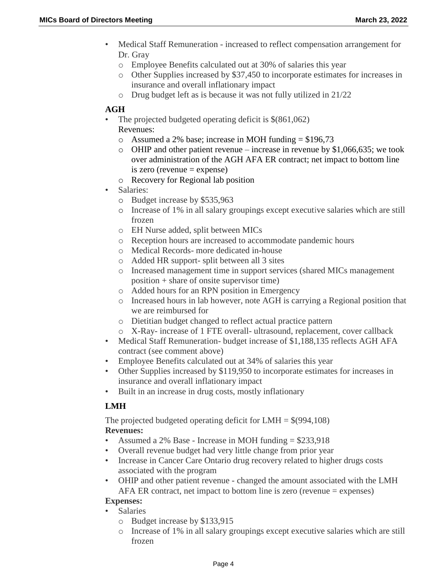- Medical Staff Remuneration increased to reflect compensation arrangement for Dr. Gray
	- o Employee Benefits calculated out at 30% of salaries this year
	- o Other Supplies increased by \$37,450 to incorporate estimates for increases in insurance and overall inflationary impact
	- o Drug budget left as is because it was not fully utilized in 21/22

#### **AGH**

- The projected budgeted operating deficit is  $$(861,062)$ Revenues:
	- o Assumed a 2% base; increase in MOH funding  $= $196,73$
	- $\circ$  OHIP and other patient revenue increase in revenue by \$1,066,635; we took over administration of the AGH AFA ER contract; net impact to bottom line  $is zero (revenue = expense)$
	- o Recovery for Regional lab position
- Salaries:
	- o Budget increase by \$535,963
	- o Increase of 1% in all salary groupings except executive salaries which are still frozen
	- o EH Nurse added, split between MICs
	- o Reception hours are increased to accommodate pandemic hours
	- o Medical Records- more dedicated in-house
	- o Added HR support- split between all 3 sites
	- o Increased management time in support services (shared MICs management position + share of onsite supervisor time)
	- o Added hours for an RPN position in Emergency
	- o Increased hours in lab however, note AGH is carrying a Regional position that we are reimbursed for
	- o Dietitian budget changed to reflect actual practice pattern
	- o X-Ray- increase of 1 FTE overall- ultrasound, replacement, cover callback
- Medical Staff Remuneration- budget increase of \$1,188,135 reflects AGH AFA contract (see comment above)
- Employee Benefits calculated out at 34% of salaries this year
- Other Supplies increased by \$119,950 to incorporate estimates for increases in insurance and overall inflationary impact
- Built in an increase in drug costs, mostly inflationary

## **LMH**

The projected budgeted operating deficit for  $LMH = $(994,108)$$ **Revenues:**

- Assumed a 2% Base Increase in MOH funding = \$233,918
- Overall revenue budget had very little change from prior year
- Increase in Cancer Care Ontario drug recovery related to higher drugs costs associated with the program
- OHIP and other patient revenue changed the amount associated with the LMH AFA ER contract, net impact to bottom line is zero (revenue = expenses)

#### **Expenses:**

- Salaries
	- o Budget increase by \$133,915
	- o Increase of 1% in all salary groupings except executive salaries which are still frozen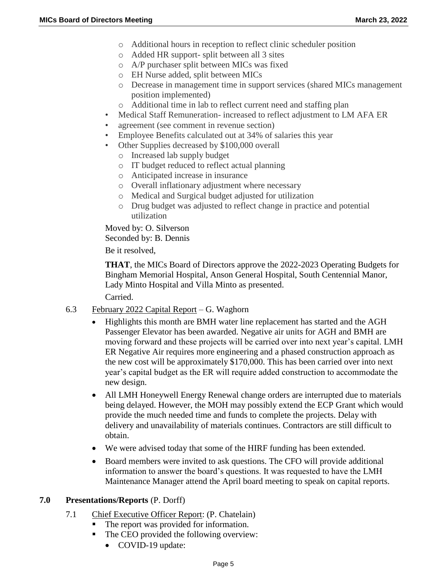- o Additional hours in reception to reflect clinic scheduler position
- o Added HR support- split between all 3 sites
- o A/P purchaser split between MICs was fixed
- o EH Nurse added, split between MICs
- o Decrease in management time in support services (shared MICs management position implemented)
- o Additional time in lab to reflect current need and staffing plan
- Medical Staff Remuneration- increased to reflect adjustment to LM AFA ER
- agreement (see comment in revenue section)
- Employee Benefits calculated out at 34% of salaries this year
- Other Supplies decreased by \$100,000 overall
	- o Increased lab supply budget
	- o IT budget reduced to reflect actual planning
	- o Anticipated increase in insurance
	- o Overall inflationary adjustment where necessary
	- o Medical and Surgical budget adjusted for utilization
	- o Drug budget was adjusted to reflect change in practice and potential utilization

Moved by: O. Silverson Seconded by: B. Dennis

Be it resolved,

**THAT**, the MICs Board of Directors approve the 2022-2023 Operating Budgets for Bingham Memorial Hospital, Anson General Hospital, South Centennial Manor, Lady Minto Hospital and Villa Minto as presented.

Carried.

- 6.3 February 2022 Capital Report G. Waghorn
	- Highlights this month are BMH water line replacement has started and the AGH Passenger Elevator has been awarded. Negative air units for AGH and BMH are moving forward and these projects will be carried over into next year's capital. LMH ER Negative Air requires more engineering and a phased construction approach as the new cost will be approximately \$170,000. This has been carried over into next year's capital budget as the ER will require added construction to accommodate the new design.
	- All LMH Honeywell Energy Renewal change orders are interrupted due to materials being delayed. However, the MOH may possibly extend the ECP Grant which would provide the much needed time and funds to complete the projects. Delay with delivery and unavailability of materials continues. Contractors are still difficult to obtain.
	- We were advised today that some of the HIRF funding has been extended.
	- Board members were invited to ask questions. The CFO will provide additional information to answer the board's questions. It was requested to have the LMH Maintenance Manager attend the April board meeting to speak on capital reports.

#### **7.0 Presentations/Reports** (P. Dorff)

- 7.1 Chief Executive Officer Report: (P. Chatelain)
	- The report was provided for information.
	- The CEO provided the following overview:
		- COVID-19 update: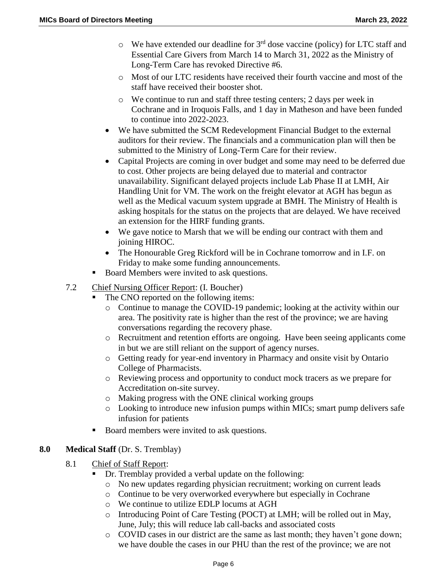- $\circ$  We have extended our deadline for 3<sup>rd</sup> dose vaccine (policy) for LTC staff and Essential Care Givers from March 14 to March 31, 2022 as the Ministry of Long-Term Care has revoked Directive #6.
- o Most of our LTC residents have received their fourth vaccine and most of the staff have received their booster shot.
- o We continue to run and staff three testing centers; 2 days per week in Cochrane and in Iroquois Falls, and 1 day in Matheson and have been funded to continue into 2022-2023.
- We have submitted the SCM Redevelopment Financial Budget to the external auditors for their review. The financials and a communication plan will then be submitted to the Ministry of Long-Term Care for their review.
- Capital Projects are coming in over budget and some may need to be deferred due to cost. Other projects are being delayed due to material and contractor unavailability. Significant delayed projects include Lab Phase II at LMH, Air Handling Unit for VM. The work on the freight elevator at AGH has begun as well as the Medical vacuum system upgrade at BMH. The Ministry of Health is asking hospitals for the status on the projects that are delayed. We have received an extension for the HIRF funding grants.
- We gave notice to Marsh that we will be ending our contract with them and joining HIROC.
- The Honourable Greg Rickford will be in Cochrane tomorrow and in I.F. on Friday to make some funding announcements.
- Board Members were invited to ask questions.
- 7.2 Chief Nursing Officer Report: (I. Boucher)
	- The CNO reported on the following items:
		- o Continue to manage the COVID-19 pandemic; looking at the activity within our area. The positivity rate is higher than the rest of the province; we are having conversations regarding the recovery phase.
		- o Recruitment and retention efforts are ongoing. Have been seeing applicants come in but we are still reliant on the support of agency nurses.
		- o Getting ready for year-end inventory in Pharmacy and onsite visit by Ontario College of Pharmacists.
		- o Reviewing process and opportunity to conduct mock tracers as we prepare for Accreditation on-site survey.
		- o Making progress with the ONE clinical working groups
		- o Looking to introduce new infusion pumps within MICs; smart pump delivers safe infusion for patients
	- Board members were invited to ask questions.

# **8.0 Medical Staff** (Dr. S. Tremblay)

- 8.1 Chief of Staff Report:
	- Dr. Tremblay provided a verbal update on the following:
		- o No new updates regarding physician recruitment; working on current leads
		- o Continue to be very overworked everywhere but especially in Cochrane
		- o We continue to utilize EDLP locums at AGH
		- o Introducing Point of Care Testing (POCT) at LMH; will be rolled out in May, June, July; this will reduce lab call-backs and associated costs
		- o COVID cases in our district are the same as last month; they haven't gone down; we have double the cases in our PHU than the rest of the province; we are not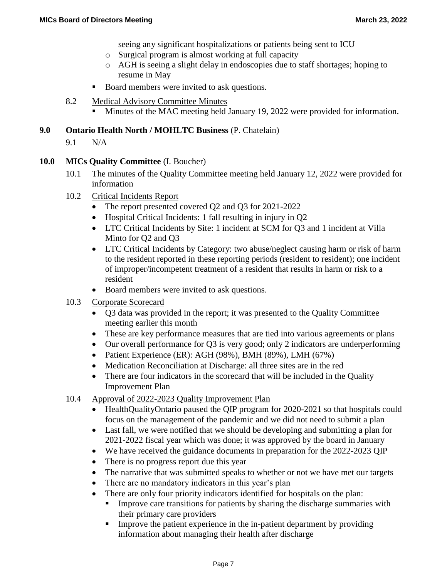seeing any significant hospitalizations or patients being sent to ICU

- o Surgical program is almost working at full capacity
- o AGH is seeing a slight delay in endoscopies due to staff shortages; hoping to resume in May
- Board members were invited to ask questions.
- 8.2 Medical Advisory Committee Minutes
	- Minutes of the MAC meeting held January 19, 2022 were provided for information.

### **9.0 Ontario Health North / MOHLTC Business** (P. Chatelain)

9.1 N/A

#### **10.0 MICs Quality Committee** (I. Boucher)

- 10.1 The minutes of the Quality Committee meeting held January 12, 2022 were provided for information
- 10.2 Critical Incidents Report
	- The report presented covered Q2 and Q3 for 2021-2022
	- Hospital Critical Incidents: 1 fall resulting in injury in O2
	- LTC Critical Incidents by Site: 1 incident at SCM for Q3 and 1 incident at Villa Minto for Q2 and Q3
	- LTC Critical Incidents by Category: two abuse/neglect causing harm or risk of harm to the resident reported in these reporting periods (resident to resident); one incident of improper/incompetent treatment of a resident that results in harm or risk to a resident
	- Board members were invited to ask questions.
- 10.3 Corporate Scorecard
	- Q3 data was provided in the report; it was presented to the Quality Committee meeting earlier this month
	- These are key performance measures that are tied into various agreements or plans
	- Our overall performance for Q3 is very good; only 2 indicators are underperforming
	- Patient Experience (ER): AGH (98%), BMH (89%), LMH (67%)
	- Medication Reconciliation at Discharge: all three sites are in the red
	- There are four indicators in the scorecard that will be included in the Quality Improvement Plan

#### 10.4 Approval of 2022-2023 Quality Improvement Plan

- HealthQualityOntario paused the QIP program for 2020-2021 so that hospitals could focus on the management of the pandemic and we did not need to submit a plan
- Last fall, we were notified that we should be developing and submitting a plan for 2021-2022 fiscal year which was done; it was approved by the board in January
- We have received the guidance documents in preparation for the 2022-2023 QIP
- There is no progress report due this year
- The narrative that was submitted speaks to whether or not we have met our targets
- There are no mandatory indicators in this year's plan
- There are only four priority indicators identified for hospitals on the plan:
	- **IMPROVE CALC 1** Improve care transitions for patients by sharing the discharge summaries with their primary care providers
	- Improve the patient experience in the in-patient department by providing information about managing their health after discharge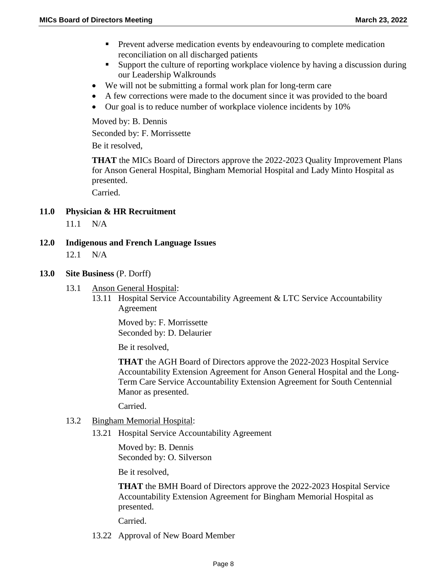- **Prevent adverse medication events by endeavouring to complete medication** reconciliation on all discharged patients
- Support the culture of reporting workplace violence by having a discussion during our Leadership Walkrounds
- We will not be submitting a formal work plan for long-term care
- A few corrections were made to the document since it was provided to the board
- Our goal is to reduce number of workplace violence incidents by 10%

Moved by: B. Dennis

Seconded by: F. Morrissette

Be it resolved,

**THAT** the MICs Board of Directors approve the 2022-2023 Quality Improvement Plans for Anson General Hospital, Bingham Memorial Hospital and Lady Minto Hospital as presented.

Carried.

**11.0 Physician & HR Recruitment** 

11.1 N/A

**12.0 Indigenous and French Language Issues** 12.1 N/A

#### **13.0 Site Business** (P. Dorff)

- 13.1 Anson General Hospital:
	- 13.11 Hospital Service Accountability Agreement & LTC Service Accountability Agreement

Moved by: F. Morrissette Seconded by: D. Delaurier

Be it resolved,

**THAT** the AGH Board of Directors approve the 2022-2023 Hospital Service Accountability Extension Agreement for Anson General Hospital and the Long-Term Care Service Accountability Extension Agreement for South Centennial Manor as presented.

Carried.

- 13.2 Bingham Memorial Hospital:
	- 13.21 Hospital Service Accountability Agreement

Moved by: B. Dennis Seconded by: O. Silverson

Be it resolved,

**THAT** the BMH Board of Directors approve the 2022-2023 Hospital Service Accountability Extension Agreement for Bingham Memorial Hospital as presented.

Carried.

13.22 Approval of New Board Member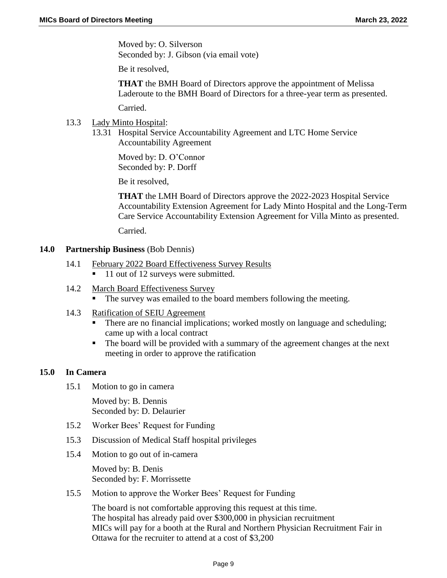Moved by: O. Silverson Seconded by: J. Gibson (via email vote)

Be it resolved,

**THAT** the BMH Board of Directors approve the appointment of Melissa Laderoute to the BMH Board of Directors for a three-year term as presented.

Carried.

- 13.3 Lady Minto Hospital:
	- 13.31 Hospital Service Accountability Agreement and LTC Home Service Accountability Agreement

Moved by: D. O'Connor Seconded by: P. Dorff

Be it resolved,

**THAT** the LMH Board of Directors approve the 2022-2023 Hospital Service Accountability Extension Agreement for Lady Minto Hospital and the Long-Term Care Service Accountability Extension Agreement for Villa Minto as presented.

Carried.

#### **14.0 Partnership Business** (Bob Dennis)

- 14.1 February 2022 Board Effectiveness Survey Results
	- 11 out of 12 surveys were submitted.
- 14.2 March Board Effectiveness Survey The survey was emailed to the board members following the meeting.
- 14.3 Ratification of SEIU Agreement
	- There are no financial implications; worked mostly on language and scheduling; came up with a local contract
	- The board will be provided with a summary of the agreement changes at the next meeting in order to approve the ratification

#### **15.0 In Camera**

15.1 Motion to go in camera

Moved by: B. Dennis Seconded by: D. Delaurier

- 15.2 Worker Bees' Request for Funding
- 15.3 Discussion of Medical Staff hospital privileges
- 15.4 Motion to go out of in-camera

Moved by: B. Denis Seconded by: F. Morrissette

15.5 Motion to approve the Worker Bees' Request for Funding

The board is not comfortable approving this request at this time. The hospital has already paid over \$300,000 in physician recruitment MICs will pay for a booth at the Rural and Northern Physician Recruitment Fair in Ottawa for the recruiter to attend at a cost of \$3,200